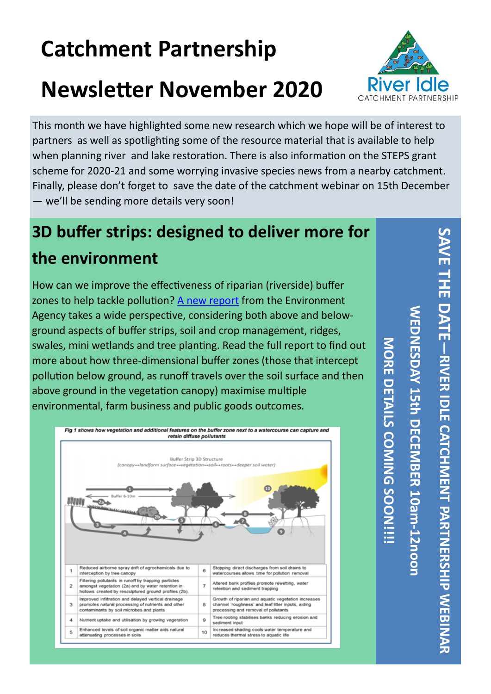# **Catchment Partnership**

# **Newsletter November 2020**



This month we have highlighted some new research which we hope will be of interest to partners as well as spotlighting some of the resource material that is available to help when planning river and lake restoration. There is also information on the STEPS grant scheme for 2020-21 and some worrying invasive species news from a nearby catchment. Finally, please don't forget to save the date of the catchment webinar on 15th December — we'll be sending more details very soon!

# **3D buffer strips: designed to deliver more for the environment**

How can we improve the effectiveness of riparian (riverside) buffer zones to help tackle pollution? [A new report](https://www.gov.uk/government/publications/3d-buffer-strips-designed-to-deliver-more-for-the-environment) from the Environment Agency takes a wide perspective, considering both above and belowground aspects of buffer strips, soil and crop management, ridges, swales, mini wetlands and tree planting. Read the full report to find out more about how three-dimensional buffer zones (those that intercept pollution below ground, as runoff travels over the soil surface and then above ground in the vegetation canopy) maximise multiple environmental, farm business and public goods outcomes.



SAVE THE DATE **SAVE THE DATE WEDNESDAY 15th DECEMBER 10amWEDNESDAY 15th D** -<br>
PANEX<br>
DLE **—RIVER IDLE CATCHMENT PARTNERSHIP WEBINAR CATCHNEMT PARTNERSHIP WEBINAR -12noon**

**MORE DETAILS COMING SOON!!!!**

MORE DETAILS COMING SOON !!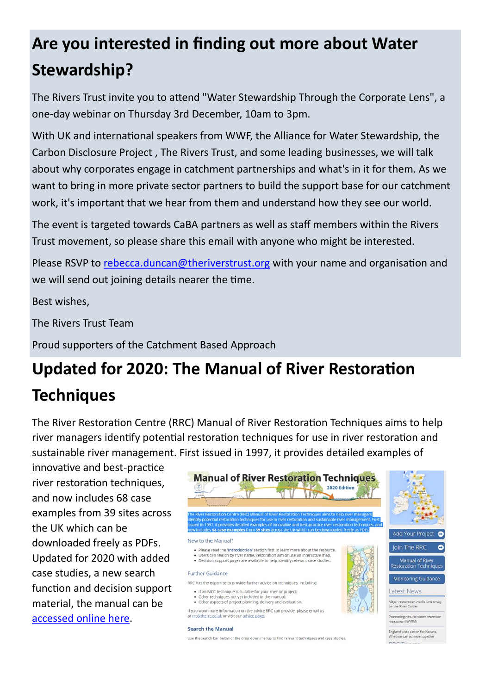## **Are you interested in finding out more about Water Stewardship?**

The Rivers Trust invite you to attend "Water Stewardship Through the Corporate Lens", a one-day webinar on Thursday 3rd December, 10am to 3pm.

With UK and international speakers from WWF, the Alliance for Water Stewardship, the Carbon Disclosure Project , The Rivers Trust, and some leading businesses, we will talk about why corporates engage in catchment partnerships and what's in it for them. As we want to bring in more private sector partners to build the support base for our catchment work, it's important that we hear from them and understand how they see our world.

The event is targeted towards CaBA partners as well as staff members within the Rivers Trust movement, so please share this email with anyone who might be interested.

Please RSVP to [rebecca.duncan@theriverstrust.org](mailto:rebecca.duncan@theriverstrust.org) with your name and organisation and we will send out joining details nearer the time.

Best wishes,

The Rivers Trust Team

Proud supporters of the Catchment Based Approach

## **Updated for 2020: The Manual of River Restoration Techniques**

The River Restoration Centre (RRC) Manual of River Restoration Techniques aims to help river managers identify potential restoration techniques for use in river restoration and sustainable river management. First issued in 1997, it provides detailed examples of

innovative and best-practice river restoration techniques, and now includes 68 case examples from 39 sites across the UK which can be downloaded freely as PDFs. Updated for 2020 with added case studies, a new search function and decision support material, the manual can be [accessed online here.](https://www.therrc.co.uk/manual-river-restoration-techniques)



#### **Search the Manual**

Use the search bar below or the drop down menus to find relevant techniques and case studies

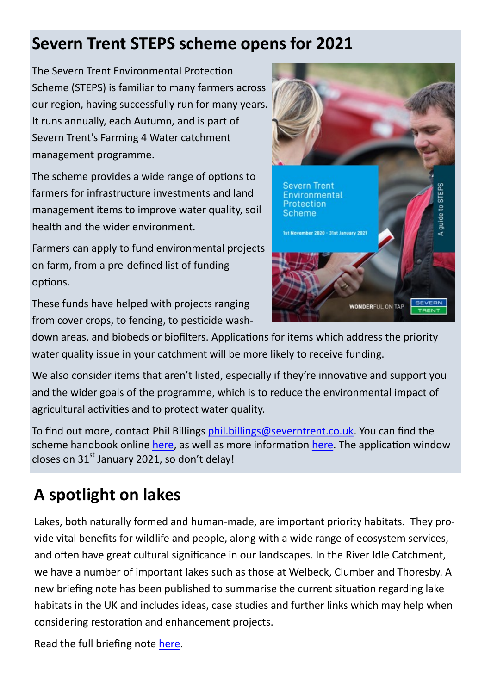#### **Severn Trent STEPS scheme opens for 2021**

The Severn Trent Environmental Protection Scheme (STEPS) is familiar to many farmers across our region, having successfully run for many years. It runs annually, each Autumn, and is part of Severn Trent's Farming 4 Water catchment management programme.

The scheme provides a wide range of options to farmers for infrastructure investments and land management items to improve water quality, soil health and the wider environment.

Farmers can apply to fund environmental projects on farm, from a pre-defined list of funding options.

These funds have helped with projects ranging from cover crops, to fencing, to pesticide wash-



down areas, and biobeds or biofilters. Applications for items which address the priority water quality issue in your catchment will be more likely to receive funding.

We also consider items that aren't listed, especially if they're innovative and support you and the wider goals of the programme, which is to reduce the environmental impact of agricultural activities and to protect water quality.

To find out more, contact Phil Billings [phil.billings@severntrent.co.uk.](mailto:phil.billings@severntrent.co.uk) You can find the scheme handbook online [here,](https://www.stwater.co.uk/content/dam/stw/about_us/steps/steps-guide-2020.pdf) as well as more information [here.](https://www.stwater.co.uk/about-us/environment/catchment-management/severn-trent-environmental-protection-scheme/) The application window closes on  $31<sup>st</sup>$  January 2021, so don't delay!

### **A spotlight on lakes**

Lakes, both naturally formed and human-made, are important priority habitats. They provide vital benefits for wildlife and people, along with a wide range of ecosystem services, and often have great cultural significance in our landscapes. In the River Idle Catchment, we have a number of important lakes such as those at Welbeck, Clumber and Thoresby. A new briefing note has been published to summarise the current situation regarding lake habitats in the UK and includes ideas, case studies and further links which may help when considering restoration and enhancement projects.

Read the full briefing note [here.](https://mcusercontent.com/fb1d7eb86bc790428464bd9f0/files/271014d7-b46b-43b8-a9cc-6aca4193360e/Lakes_Cherished_yet_forgottenv2.2.pdf?utm_source=CaBA+and+Rivers+Trust+Mailing+List&utm_campaign=61bbc2af0c-EMAIL_CAMPAIGN_2019_05_29_02_38_COPY_01&utm_medium=email)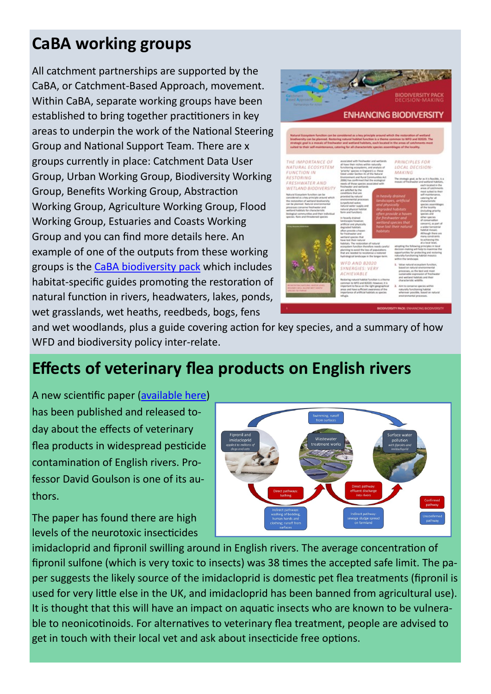#### **CaBA working groups**

All catchment partnerships are supported by the CaBA, or Catchment-Based Approach, movement. Within CaBA, separate working groups have been established to bring together practitioners in key areas to underpin the work of the National Steering Group and National Support Team. There are x groups currently in place: Catchment Data User Group, Urban Working Group, Biodiversity Working Group, Benefits Working Group, Abstraction Working Group, Agriculture Working Group, Flood Working Group, Estuaries and Coasts Working Group and you can find more details here. An example of one of the outputs from these working groups is the [CaBA biodiversity pack](https://catchmentbasedapproach.org/learn/caba-biodiversity-pack/) which includes habitat-specific guides promoting the restoration of natural function in rivers, headwaters, lakes, ponds, wet grasslands, wet heaths, reedbeds, bogs, fens



and wet woodlands, plus a guide covering action for key species, and a summary of how WFD and biodiversity policy inter-relate.

#### **Effects of veterinary flea products on English rivers**

A new scientific paper (available here) has been published and released today about the effects of veterinary flea products in widespread pesticide contamination of English rivers. Professor David Goulson is one of its authors.

The paper has found there are high levels of the neurotoxic insecticides



imidacloprid and fipronil swilling around in English rivers. The average concentration of fipronil sulfone (which is very toxic to insects) was 38 times the accepted safe limit. The paper suggests the likely source of the imidacloprid is domestic pet flea treatments (fipronil is used for very little else in the UK, and imidacloprid has been banned from agricultural use). It is thought that this will have an impact on aquatic insects who are known to be vulnerable to neonicotinoids. For alternatives to veterinary flea treatment, people are advised to get in touch with their local vet and ask about insecticide free options.